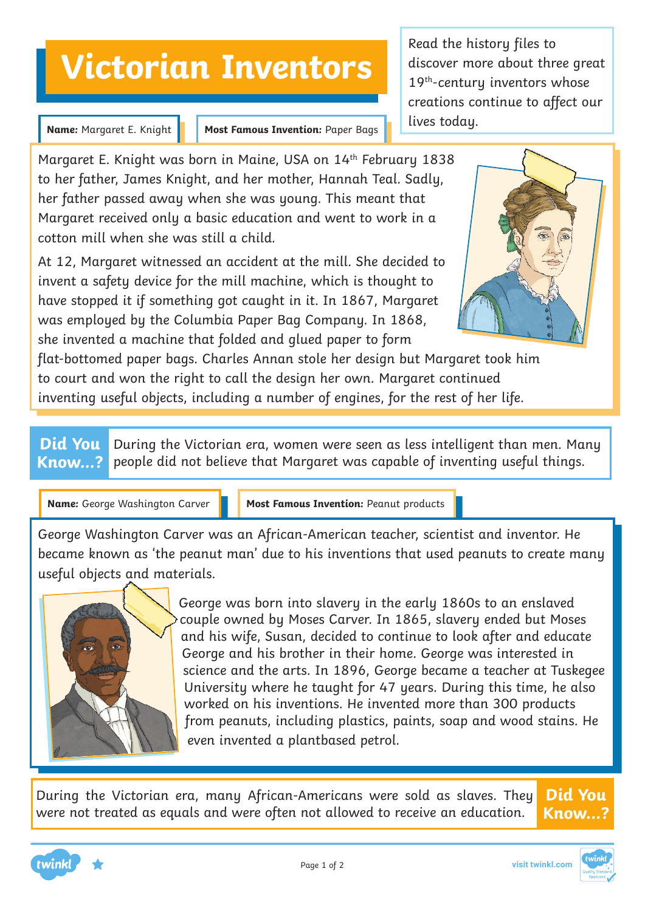## **Victorian Inventors**

**Name:** Margaret E. Knight

**Most Famous Invention:** Paper Bags

Margaret E. Knight was born in Maine, USA on 14<sup>th</sup> February 1838 to her father, James Knight, and her mother, Hannah Teal. Sadly, her father passed away when she was young. This meant that Margaret received only a basic education and went to work in a cotton mill when she was still a child.

At 12, Margaret witnessed an accident at the mill. She decided to invent a safety device for the mill machine, which is thought to have stopped it if something got caught in it. In 1867, Margaret was employed by the Columbia Paper Bag Company. In 1868, she invented a machine that folded and glued paper to form

Read the history files to discover more about three great 19th-century inventors whose creations continue to affect our lives today.



flat-bottomed paper bags. Charles Annan stole her design but Margaret took him to court and won the right to call the design her own. Margaret continued inventing useful objects, including a number of engines, for the rest of her life.

**Did You Know...?** During the Victorian era, women were seen as less intelligent than men. Many people did not believe that Margaret was capable of inventing useful things.

**Name:** George Washington Carver

**Most Famous Invention:** Peanut products

George Washington Carver was an African-American teacher, scientist and inventor. He became known as 'the peanut man' due to his inventions that used peanuts to create many useful objects and materials.



George was born into slavery in the early 1860s to an enslaved couple owned by Moses Carver. In 1865, slavery ended but Moses and his wife, Susan, decided to continue to look after and educate George and his brother in their home. George was interested in science and the arts. In 1896, George became a teacher at Tuskegee University where he taught for 47 years. During this time, he also worked on his inventions. He invented more than 300 products from peanuts, including plastics, paints, soap and wood stains. He even invented a plantbased petrol.

During the Victorian era, many African-Americans were sold as slaves. They were not treated as equals and were often not allowed to receive an education. **Did You**





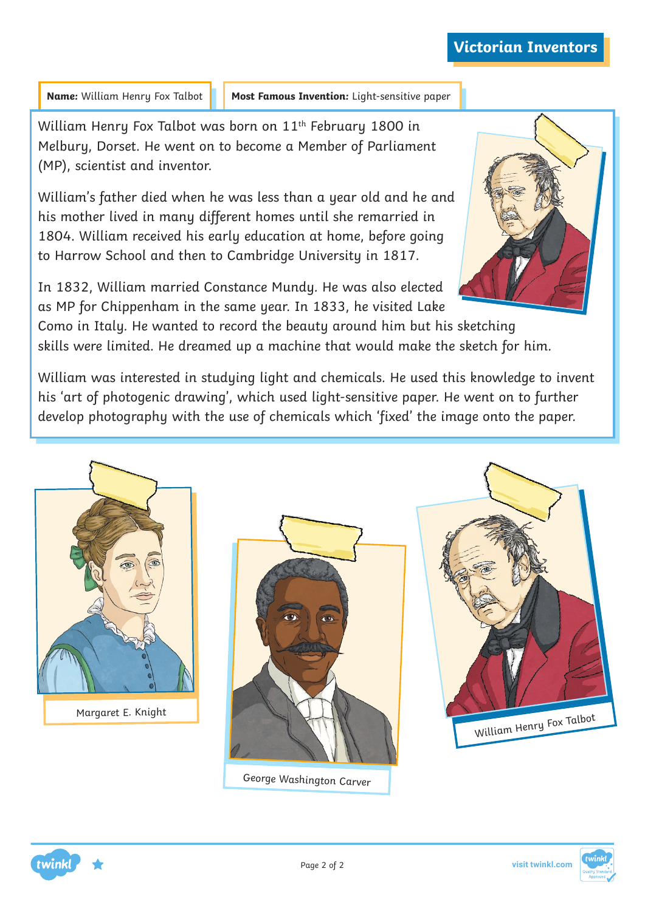Name: William Henry Fox Talbot **Most Famous Invention:** Light-sensitive paper

William Henry Fox Talbot was born on 11<sup>th</sup> February 1800 in Melbury, Dorset. He went on to become a Member of Parliament (MP), scientist and inventor.

William's father died when he was less than a year old and he and his mother lived in many different homes until she remarried in 1804. William received his early education at home, before going to Harrow School and then to Cambridge University in 1817.



In 1832, William married Constance Mundy. He was also elected as MP for Chippenham in the same year. In 1833, he visited Lake

Como in Italy. He wanted to record the beauty around him but his sketching skills were limited. He dreamed up a machine that would make the sketch for him.

William was interested in studying light and chemicals. He used this knowledge to invent his 'art of photogenic drawing', which used light-sensitive paper. He went on to further develop photography with the use of chemicals which 'fixed' the image onto the paper.





George Washington Carver

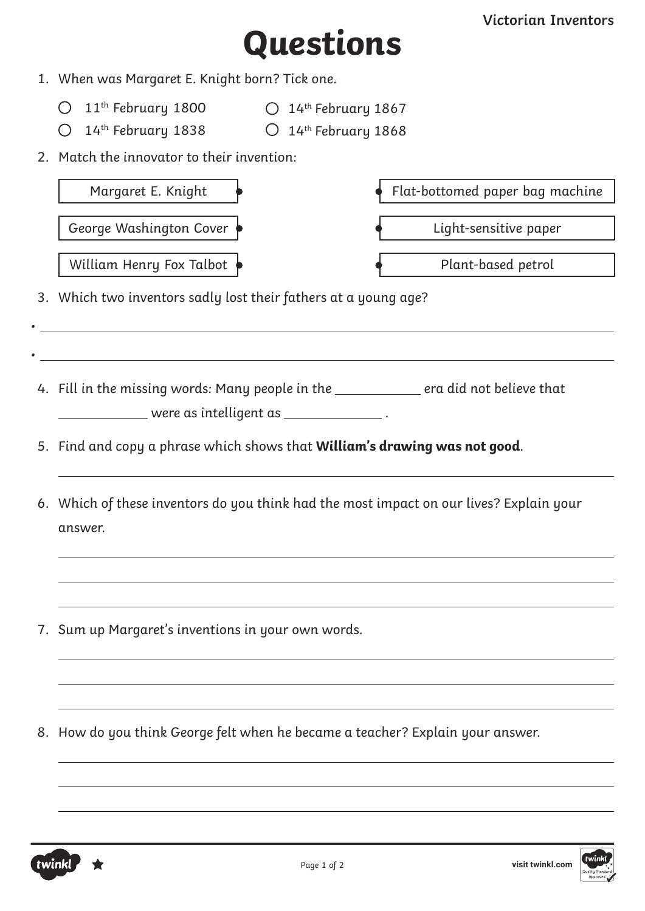# **Questions**

- 1. When was Margaret E. Knight born? Tick one.
	- $11^{\text{th}}$  February 1800  $\hskip1cm \bigcirc \hskip 1mm 14^{\text{th}}$  February 1867
	- $14^{\text{th}}$  February 1838  $\hskip1cm \bigcirc \hskip 1mm 14^{\text{th}}$  February 1868
- 
- 2. Match the innovator to their invention:

| Margaret E. Knight                                                                                                                                                                | Flat-bottomed paper bag machine                                                      |
|-----------------------------------------------------------------------------------------------------------------------------------------------------------------------------------|--------------------------------------------------------------------------------------|
| George Washington Cover                                                                                                                                                           | Light-sensitive paper                                                                |
| William Henry Fox Talbot                                                                                                                                                          | Plant-based petrol                                                                   |
| 3. Which two inventors sadly lost their fathers at a young age?                                                                                                                   |                                                                                      |
|                                                                                                                                                                                   |                                                                                      |
| <u> 1989 - Johann John Stone, markin sanadi a shekara ta 1989 - An tsara tsara tsara tsara tsara tsara tsara tsa</u><br>_____________ were as intelligent as __________________ . | 4. Fill in the missing words: Many people in the __________ era did not believe that |
| 5. Find and copy a phrase which shows that <b>William's drawing was not good</b> .                                                                                                |                                                                                      |
| 6. Which of these inventors do you think had the most impact on our lives? Explain your<br>answer.                                                                                |                                                                                      |
|                                                                                                                                                                                   |                                                                                      |
| 7. Sum up Margaret's inventions in your own words.                                                                                                                                |                                                                                      |
|                                                                                                                                                                                   |                                                                                      |
| 8. How do you think George felt when he became a teacher? Explain your answer.                                                                                                    |                                                                                      |